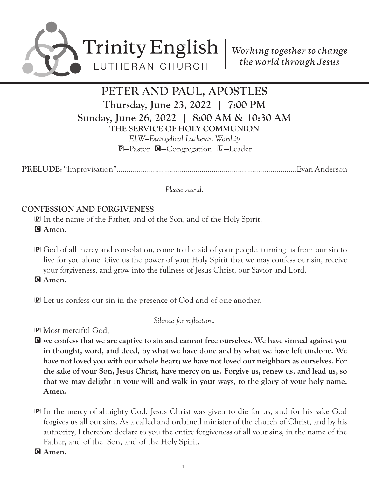

# PETER AND PAUL, APOSTLES Thursday, June 23, 2022 | 7:00 PM Sunday, June 26, 2022 | 8:00 AM & 10:30 AM THE SERVICE OF HOLY COMMUNION

*ELW—Evangelical Lutheran Worship* P—Pastor C—Congregation L—Leader

PRELUDE: "Improvisation".........................................................................................Evan Anderson

*Please stand.*

## CONFESSION AND FORGIVENESS

P In the name of the Father, and of the Son, and of the Holy Spirit.

- G Amen.
- P God of all mercy and consolation, come to the aid of your people, turning us from our sin to live for you alone. Give us the power of your Holy Spirit that we may confess our sin, receive your forgiveness, and grow into the fullness of Jesus Christ, our Savior and Lord.
- G Amen.
- P Let us confess our sin in the presence of God and of one another.

*Silence for reflection.*

P Most merciful God,

C we confess that we are captive to sin and cannot free ourselves. We have sinned against you in thought, word, and deed, by what we have done and by what we have left undone. We have not loved you with our whole heart; we have not loved our neighbors as ourselves. For the sake of your Son, Jesus Christ, have mercy on us. Forgive us, renew us, and lead us, so that we may delight in your will and walk in your ways, to the glory of your holy name. Amen.

- P In the mercy of almighty God, Jesus Christ was given to die for us, and for his sake God forgives us all our sins. As a called and ordained minister of the church of Christ, and by his authority, I therefore declare to you the entire forgiveness of all your sins, in the name of the Father, and of the Son, and of the Holy Spirit.
- G Amen.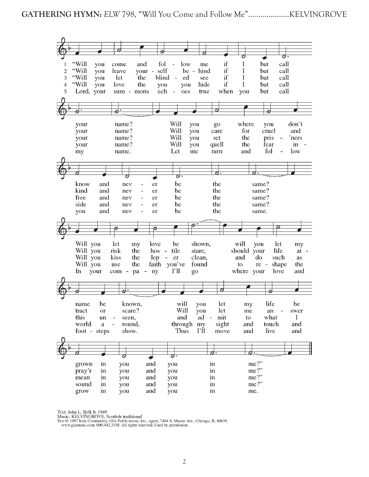

Text: John L. Bell, b. 1949

Music: KELVINGROVE, Scottish traditional

ATAS TRANSA TEXTO 1987 ION COMMUNISM AND TRANSA TEXTO 1987 ION COMMUNISM CIA Publications, Inc., agent. 7404 S. Mason Ave., Chicago, IL 60638.<br>WWW.giamusic.com. 800.442.3358. All rights reserved. Used by permission.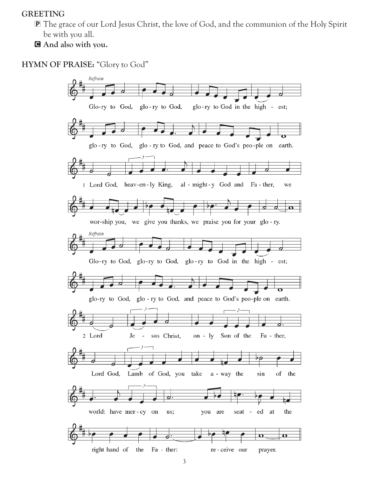#### GREETING

P The grace of our Lord Jesus Christ, the love of God, and the communion of the Holy Spirit be with you all.

C And also with you.

HYMN OF PRAISE: "Glory to God"

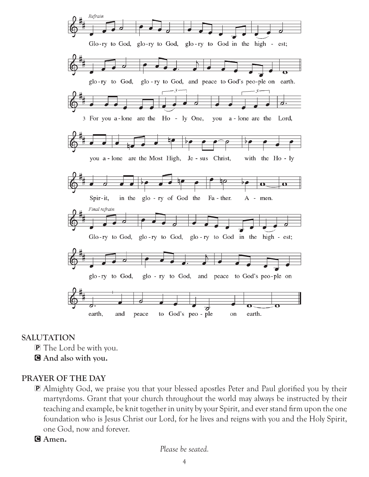

#### SALUTATION

- P The Lord be with you.
- C And also with you.

## PRAYER OF THE DAY

- P Almighty God, we praise you that your blessed apostles Peter and Paul glorified you by their martyrdoms. Grant that your church throughout the world may always be instructed by their teaching and example, be knit together in unity by your Spirit, and ever stand firm upon the one foundation who is Jesus Christ our Lord, for he lives and reigns with you and the Holy Spirit, one God, now and forever.
- G Amen.

*Please be seated.*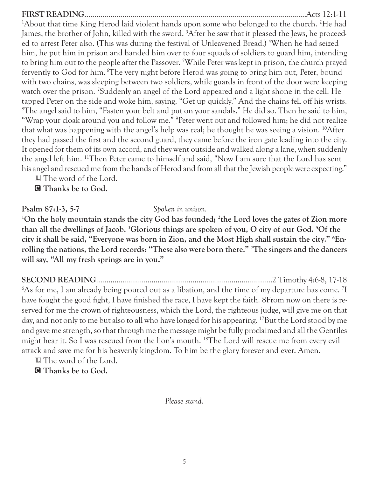## FIRST READING...............................................................................................................Acts 12:1-11 <sup>1</sup>About that time King Herod laid violent hands upon some who belonged to the church. <sup>2</sup>He had James, the brother of John, killed with the sword. 3 After he saw that it pleased the Jews, he proceeded to arrest Peter also. (This was during the festival of Unleavened Bread.) 4 When he had seized him, he put him in prison and handed him over to four squads of soldiers to guard him, intending to bring him out to the people after the Passover. 5 While Peter was kept in prison, the church prayed fervently to God for him. The very night before Herod was going to bring him out, Peter, bound with two chains, was sleeping between two soldiers, while guards in front of the door were keeping watch over the prison. 7 Suddenly an angel of the Lord appeared and a light shone in the cell. He tapped Peter on the side and woke him, saying, "Get up quickly." And the chains fell off his wrists.  ${}^8\mathrm{The}$  angel said to him, "Fasten your belt and put on your sandals." He did so. Then he said to him, "Wrap your cloak around you and follow me." 9 Peter went out and followed him; he did not realize that what was happening with the angel's help was real; he thought he was seeing a vision. 10After they had passed the first and the second guard, they came before the iron gate leading into the city. It opened for them of its own accord, and they went outside and walked along a lane, when suddenly the angel left him. 11Then Peter came to himself and said, "Now I am sure that the Lord has sent his angel and rescued me from the hands of Herod and from all that the Jewish people were expecting."

L The word of the Lord.

**C** Thanks be to God.

## Psalm 87:1-3, 5-7 *Spoken in unison.*

<sup>1</sup>On the holy mountain stands the city God has founded; <sup>2</sup>the Lord loves the gates of Zion more than all the dwellings of Jacob. <sup>3</sup>Glorious things are spoken of you, O city of our God. <sup>5</sup>Of the city it shall be said, "Everyone was born in Zion, and the Most High shall sustain the city." 6 Enrolling the nations, the Lord records: "These also were born there." 7 The singers and the dancers will say, "All my fresh springs are in you."

SECOND READING......................................................................................2 Timothy 4:6-8, 17-18  $6$ As for me, I am already being poured out as a libation, and the time of my departure has come.  $^7\mathrm{I}$ have fought the good fight, I have finished the race, I have kept the faith. 8From now on there is reserved for me the crown of righteousness, which the Lord, the righteous judge, will give me on that day, and not only to me but also to all who have longed for his appearing. <sup>17</sup>But the Lord stood by me and gave me strength, so that through me the message might be fully proclaimed and all the Gentiles might hear it. So I was rescued from the lion's mouth. 18The Lord will rescue me from every evil attack and save me for his heavenly kingdom. To him be the glory forever and ever. Amen.

L The word of the Lord.

**G** Thanks be to God.

*Please stand.*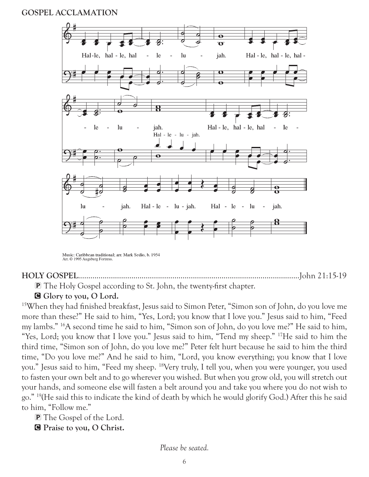#### GOSPEL ACCLAMATION



Music: Caribbean traditional; arr. Mark Sedio, b. 1954 Arr. © 1995 Augsburg Fortress

#### HOLY GOSPEL............................................................................................................John 21:15-19

P The Holy Gospel according to St. John, the twenty-first chapter.

G Glory to you, O Lord.

15When they had finished breakfast, Jesus said to Simon Peter, "Simon son of John, do you love me more than these?" He said to him, "Yes, Lord; you know that I love you." Jesus said to him, "Feed my lambs." 16A second time he said to him, "Simon son of John, do you love me?" He said to him, "Yes, Lord; you know that I love you." Jesus said to him, "Tend my sheep." <sup>17</sup>He said to him the third time, "Simon son of John, do you love me?" Peter felt hurt because he said to him the third time, "Do you love me?" And he said to him, "Lord, you know everything; you know that I love you." Jesus said to him, "Feed my sheep. 18Very truly, I tell you, when you were younger, you used to fasten your own belt and to go wherever you wished. But when you grow old, you will stretch out your hands, and someone else will fasten a belt around you and take you where you do not wish to go." 19(He said this to indicate the kind of death by which he would glorify God.) After this he said to him, "Follow me."

P The Gospel of the Lord.

C Praise to you, O Christ.

*Please be seated.*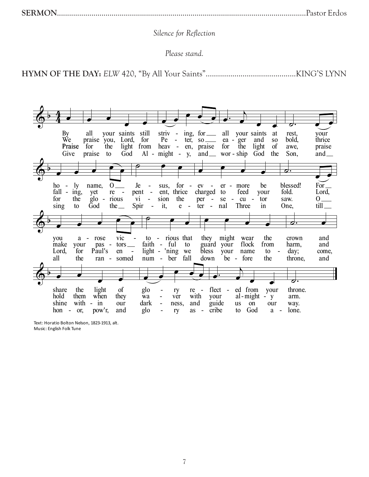#### Silence for Reflection

Please stand.

your saints still striv - ing, for \_\_\_\_\_ all your saints at vour Bv all rest. Ŵе for praise you, Lord,  $Pe$  $ter, so \_\_$  $ea - ger$ and S<sub>O</sub> bold, thrice light from heav - en, praise for the Praise for the light <sub>of</sub> awe, praise Give praise God  $Al - might - y$ ,  $and$  wor - ship God the Son, and  $\equiv$ to ♂.  $\frac{\hbar 0}{\hbar 2}$  -  $\frac{\hbar y}{\hbar 2}$  $for - ev For_{-}$ name, Je er - more blessed! sus, be  $re$ ent, thrice charged to feed fold. Lord, yet pent your for the  $g$ lo rious  $vi$ sion the per - $-cu$  - tor saw.  $0_{-}$  ${\rm se}$ God Spir it,  $e - ter -$ Three  $\text{till}$ <sub> $-$ </sub> sing the $\equiv$ nal in One, to  $\sim$   $$ to - rious that they might you vic wear the crown a - rose and faith - ful guard your flock from harm, and make your pas  $tors$ to Paul's light - 'ning we Lord, for en bless your name to  $day;$ come,  $\sim$  $\overline{\phantom{a}}$ all num - ber fall down be - fore the the ran somed throne, and share light of ed from the glo  $flect$ your throne.  $\overline{a}$ ry re hold them when  $\overline{a}$ al-might -  $y$ they wa with your arm. ver guide shine with - in dark  $\blacksquare$ and our ness, **us** on our way. cribe God lone. hon - or, pow'r, and glo  $\overline{a}$ ry as to  $a -$ 

Text: Horatio Bolton Nelson, 1823-1913, alt. Music: English Folk Tune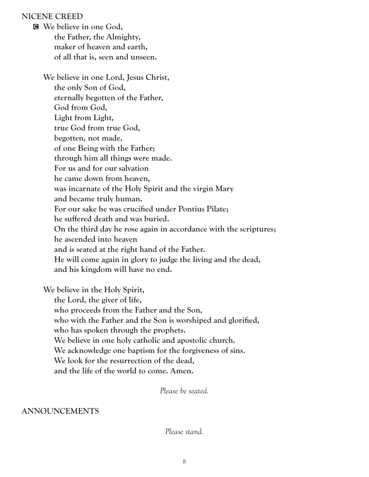#### NICENE CREED

C We believe in one God, the Father, the Almighty, maker of heaven and earth, of all that is, seen and unseen.

 We believe in one Lord, Jesus Christ, the only Son of God, eternally begotten of the Father, God from God, Light from Light, true God from true God, begotten, not made, of one Being with the Father; through him all things were made. For us and for our salvation he came down from heaven, was incarnate of the Holy Spirit and the virgin Mary and became truly human. For our sake he was crucified under Pontius Pilate; he suffered death and was buried. On the third day he rose again in accordance with the scriptures; he ascended into heaven and is seated at the right hand of the Father. He will come again in glory to judge the living and the dead, and his kingdom will have no end.

We believe in the Holy Spirit,

 the Lord, the giver of life, who proceeds from the Father and the Son, who with the Father and the Son is worshiped and glorified, who has spoken through the prophets. We believe in one holy catholic and apostolic church. We acknowledge one baptism for the forgiveness of sins. We look for the resurrection of the dead, and the life of the world to come. Amen.

*Please be seated.*

#### ANNOUNCEMENTS

*Please stand.*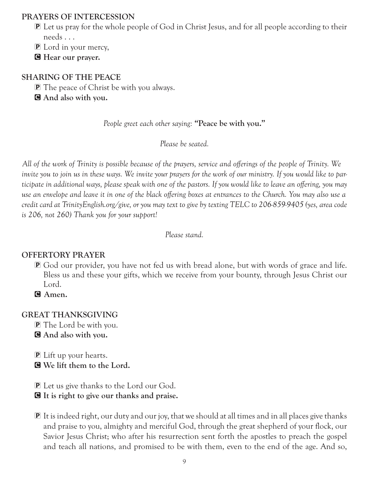#### PRAYERS OF INTERCESSION

- P Let us pray for the whole people of God in Christ Jesus, and for all people according to their needs . . .
- P Lord in your mercy,
- **G** Hear our prayer.

## SHARING OF THE PEACE

**P** The peace of Christ be with you always.

C And also with you.

*People greet each other saying:* "Peace be with you."

*Please be seated.*

*All of the work of Trinity is possible because of the prayers, service and offerings of the people of Trinity. We invite you to join us in these ways. We invite your prayers for the work of our ministry. If you would like to participate in additional ways, please speak with one of the pastors. If you would like to leave an offering, you may use an envelope and leave it in one of the black offering boxes at entrances to the Church. You may also use a credit card at TrinityEnglish.org/give, or you may text to give by texting TELC to 206-859-9405 (yes, area code is 206, not 260) Thank you for your support!*

*Please stand.*

## OFFERTORY PRAYER

P God our provider, you have not fed us with bread alone, but with words of grace and life. Bless us and these your gifts, which we receive from your bounty, through Jesus Christ our Lord.

G Amen.

## GREAT THANKSGIVING

P The Lord be with you. C And also with you.

P Lift up your hearts. C We lift them to the Lord.

- P Let us give thanks to the Lord our God.
- C It is right to give our thanks and praise.
- P It is indeed right, our duty and our joy, that we should at all times and in all places give thanks and praise to you, almighty and merciful God, through the great shepherd of your flock, our Savior Jesus Christ; who after his resurrection sent forth the apostles to preach the gospel and teach all nations, and promised to be with them, even to the end of the age. And so,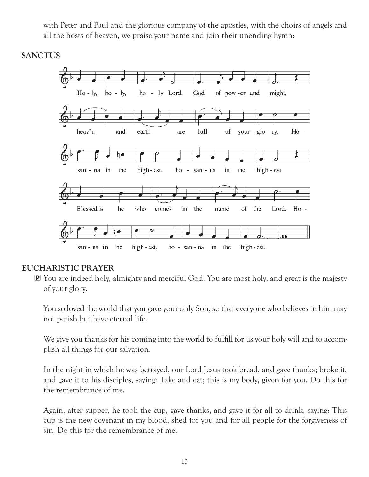with Peter and Paul and the glorious company of the apostles, with the choirs of angels and all the hosts of heaven, we praise your name and join their unending hymn:

### **SANCTUS**



## EUCHARISTIC PRAYER

P You are indeed holy, almighty and merciful God. You are most holy, and great is the majesty of your glory.

 You so loved the world that you gave your only Son, so that everyone who believes in him may not perish but have eternal life.

 We give you thanks for his coming into the world to fulfill for us your holy will and to accomplish all things for our salvation.

 In the night in which he was betrayed, our Lord Jesus took bread, and gave thanks; broke it, and gave it to his disciples, saying: Take and eat; this is my body, given for you. Do this for the remembrance of me.

 Again, after supper, he took the cup, gave thanks, and gave it for all to drink, saying: This cup is the new covenant in my blood, shed for you and for all people for the forgiveness of sin. Do this for the remembrance of me.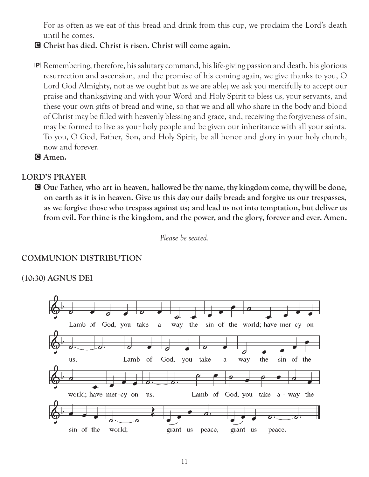For as often as we eat of this bread and drink from this cup, we proclaim the Lord's death until he comes.

- C Christ has died. Christ is risen. Christ will come again.
- P Remembering, therefore, his salutary command, his life-giving passion and death, his glorious resurrection and ascension, and the promise of his coming again, we give thanks to you, O Lord God Almighty, not as we ought but as we are able; we ask you mercifully to accept our praise and thanksgiving and with your Word and Holy Spirit to bless us, your servants, and these your own gifts of bread and wine, so that we and all who share in the body and blood of Christ may be filled with heavenly blessing and grace, and, receiving the forgiveness of sin, may be formed to live as your holy people and be given our inheritance with all your saints. To you, O God, Father, Son, and Holy Spirit, be all honor and glory in your holy church, now and forever.

G Amen.

#### LORD'S PRAYER

C Our Father, who art in heaven, hallowed be thy name, thy kingdom come, thy will be done, on earth as it is in heaven. Give us this day our daily bread; and forgive us our trespasses, as we forgive those who trespass against us; and lead us not into temptation, but deliver us from evil. For thine is the kingdom, and the power, and the glory, forever and ever. Amen.

*Please be seated.*

#### COMMUNION DISTRIBUTION

(10:30) AGNUS DEI

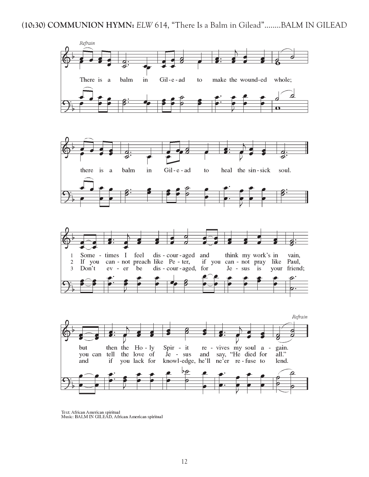







Text: African American spiritual<br>Music: BALM IN GILEAD, African American spiritual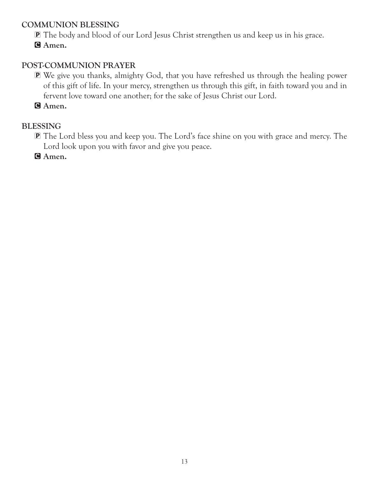## COMMUNION BLESSING

P The body and blood of our Lord Jesus Christ strengthen us and keep us in his grace.

G Amen.

## POST-COMMUNION PRAYER

P We give you thanks, almighty God, that you have refreshed us through the healing power of this gift of life. In your mercy, strengthen us through this gift, in faith toward you and in fervent love toward one another; for the sake of Jesus Christ our Lord.

G Amen.

## BLESSING

P The Lord bless you and keep you. The Lord's face shine on you with grace and mercy. The Lord look upon you with favor and give you peace.

G Amen.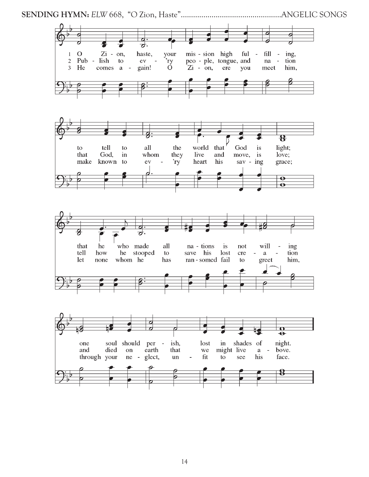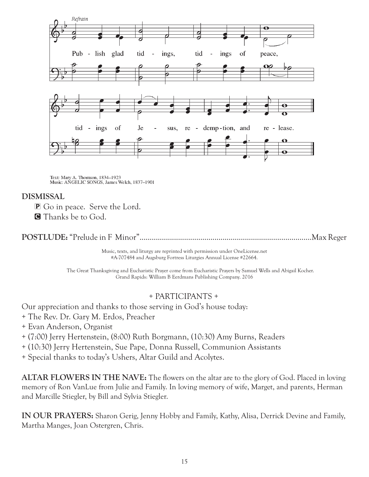

Text: Mary A. Thomson, 1834-1923<br>Music: ANGELIC SONGS, James Welch, 1837-1901

## DISMISSAL

P Go in peace. Serve the Lord. **G** Thanks be to God.

POSTLUDE: "Prelude in F Minor".....................................................................................Max Reger

Music, texts, and liturgy are reprinted with permission under OneLicense.net #A-707484 and Augsburg Fortress Liturgies Annual License #22664.

The Great Thanksgiving and Eucharistic Prayer come from Eucharistic Prayers by Samuel Wells and Abigail Kocher. Grand Rapids: William B Eerdmans Publishing Company. 2016

#### + PARTICIPANTS +

Our appreciation and thanks to those serving in God's house today:

- + The Rev. Dr. Gary M. Erdos, Preacher
- + Evan Anderson, Organist
- + (7:00) Jerry Hertenstein, (8:00) Ruth Borgmann, (10:30) Amy Burns, Readers
- + (10:30) Jerry Hertenstein, Sue Pape, Donna Russell, Communion Assistants
- + Special thanks to today's Ushers, Altar Guild and Acolytes.

ALTAR FLOWERS IN THE NAVE: The flowers on the altar are to the glory of God. Placed in loving memory of Ron VanLue from Julie and Family. In loving memory of wife, Marget, and parents, Herman and Marcille Stiegler, by Bill and Sylvia Stiegler.

IN OUR PRAYERS: Sharon Gerig, Jenny Hobby and Family, Kathy, Alisa, Derrick Devine and Family, Martha Manges, Joan Ostergren, Chris.